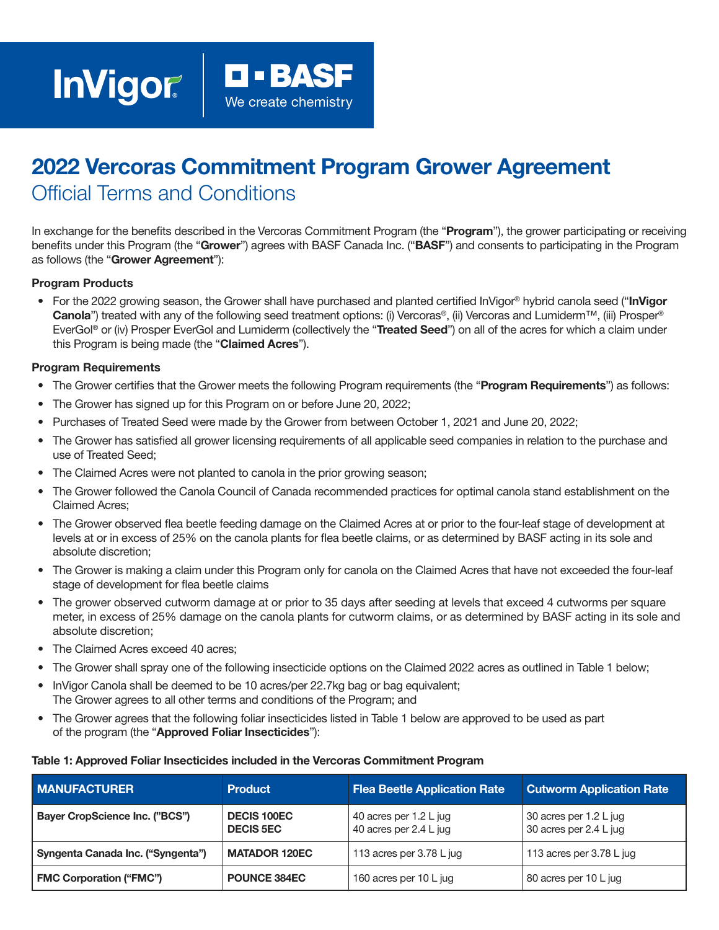# 2022 Vercoras Commitment Program Grower Agreement Official Terms and Conditions

In exchange for the benefits described in the Vercoras Commitment Program (the "Program"), the grower participating or receiving benefits under this Program (the "Grower") agrees with BASF Canada Inc. ("BASF") and consents to participating in the Program as follows (the "Grower Agreement"):

### Program Products

• For the 2022 growing season, the Grower shall have purchased and planted certified InVigor® hybrid canola seed ("InVigor" **Canola**") treated with any of the following seed treatment options: (i) Vercoras®, (ii) Vercoras and Lumiderm™, (iii) Prosper® EverGol® or (iv) Prosper EverGol and Lumiderm (collectively the "Treated Seed") on all of the acres for which a claim under this Program is being made (the "Claimed Acres").

### Program Requirements

- The Grower certifies that the Grower meets the following Program requirements (the "Program Requirements") as follows:
- The Grower has signed up for this Program on or before June 20, 2022;
- Purchases of Treated Seed were made by the Grower from between October 1, 2021 and June 20, 2022;
- The Grower has satisfied all grower licensing requirements of all applicable seed companies in relation to the purchase and use of Treated Seed;
- The Claimed Acres were not planted to canola in the prior growing season;
- The Grower followed the Canola Council of Canada recommended practices for optimal canola stand establishment on the Claimed Acres;
- The Grower observed flea beetle feeding damage on the Claimed Acres at or prior to the four-leaf stage of development at levels at or in excess of 25% on the canola plants for flea beetle claims, or as determined by BASF acting in its sole and absolute discretion;
- The Grower is making a claim under this Program only for canola on the Claimed Acres that have not exceeded the four-leaf stage of development for flea beetle claims
- The grower observed cutworm damage at or prior to 35 days after seeding at levels that exceed 4 cutworms per square meter, in excess of 25% damage on the canola plants for cutworm claims, or as determined by BASF acting in its sole and absolute discretion;
- The Claimed Acres exceed 40 acres:
- The Grower shall spray one of the following insecticide options on the Claimed 2022 acres as outlined in Table 1 below;
- InVigor Canola shall be deemed to be 10 acres/per 22.7kg bag or bag equivalent; The Grower agrees to all other terms and conditions of the Program; and
- The Grower agrees that the following foliar insecticides listed in Table 1 below are approved to be used as part of the program (the "Approved Foliar Insecticides"):

#### Table 1: Approved Foliar Insecticides included in the Vercoras Commitment Program

| <b>MANUFACTURER</b>                   | <b>Product</b>                         | <b>Flea Beetle Application Rate</b>              | <b>Cutworm Application Rate</b>                  |
|---------------------------------------|----------------------------------------|--------------------------------------------------|--------------------------------------------------|
| <b>Bayer CropScience Inc. ("BCS")</b> | <b>DECIS 100EC</b><br><b>DECIS 5EC</b> | 40 acres per 1.2 L jug<br>40 acres per 2.4 L jug | 30 acres per 1.2 L jug<br>30 acres per 2.4 L jug |
| Syngenta Canada Inc. ("Syngenta")     | <b>MATADOR 120EC</b>                   | 113 acres per $3.78$ L jug                       | 113 acres per 3.78 L jug                         |
| <b>FMC Corporation ("FMC")</b>        | <b>POUNCE 384EC</b>                    | 160 acres per 10 L jug                           | 80 acres per 10 L jug                            |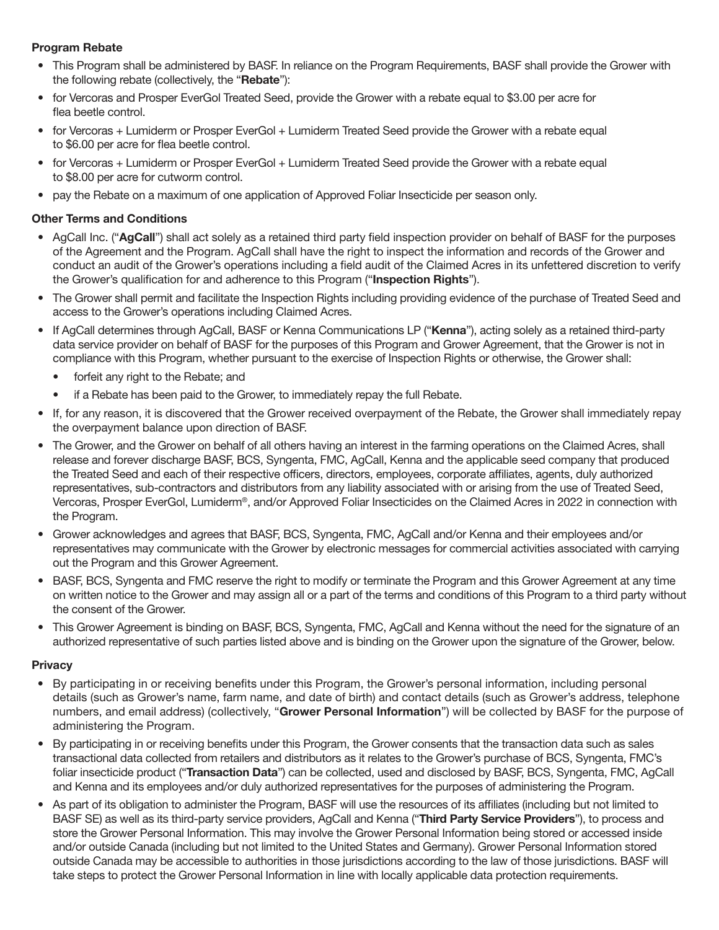# Program Rebate

- This Program shall be administered by BASF. In reliance on the Program Requirements, BASF shall provide the Grower with the following rebate (collectively, the "Rebate"):
- for Vercoras and Prosper EverGol Treated Seed, provide the Grower with a rebate equal to \$3.00 per acre for flea beetle control.
- for Vercoras + Lumiderm or Prosper EverGol + Lumiderm Treated Seed provide the Grower with a rebate equal to \$6.00 per acre for flea beetle control.
- for Vercoras + Lumiderm or Prosper EverGol + Lumiderm Treated Seed provide the Grower with a rebate equal to \$8.00 per acre for cutworm control.
- pay the Rebate on a maximum of one application of Approved Foliar Insecticide per season only.

# Other Terms and Conditions

- AgCall Inc. ("AgCall") shall act solely as a retained third party field inspection provider on behalf of BASF for the purposes of the Agreement and the Program. AgCall shall have the right to inspect the information and records of the Grower and conduct an audit of the Grower's operations including a field audit of the Claimed Acres in its unfettered discretion to verify the Grower's qualification for and adherence to this Program ("Inspection Rights").
- The Grower shall permit and facilitate the Inspection Rights including providing evidence of the purchase of Treated Seed and access to the Grower's operations including Claimed Acres.
- If AgCall determines through AgCall, BASF or Kenna Communications LP ("Kenna"), acting solely as a retained third-party data service provider on behalf of BASF for the purposes of this Program and Grower Agreement, that the Grower is not in compliance with this Program, whether pursuant to the exercise of Inspection Rights or otherwise, the Grower shall:
	- forfeit any right to the Rebate; and
	- if a Rebate has been paid to the Grower, to immediately repay the full Rebate.
- If, for any reason, it is discovered that the Grower received overpayment of the Rebate, the Grower shall immediately repay the overpayment balance upon direction of BASF.
- The Grower, and the Grower on behalf of all others having an interest in the farming operations on the Claimed Acres, shall release and forever discharge BASF, BCS, Syngenta, FMC, AgCall, Kenna and the applicable seed company that produced the Treated Seed and each of their respective officers, directors, employees, corporate affiliates, agents, duly authorized representatives, sub-contractors and distributors from any liability associated with or arising from the use of Treated Seed, Vercoras, Prosper EverGol, Lumiderm®, and/or Approved Foliar Insecticides on the Claimed Acres in 2022 in connection with the Program.
- Grower acknowledges and agrees that BASF, BCS, Syngenta, FMC, AgCall and/or Kenna and their employees and/or representatives may communicate with the Grower by electronic messages for commercial activities associated with carrying out the Program and this Grower Agreement.
- BASF, BCS, Syngenta and FMC reserve the right to modify or terminate the Program and this Grower Agreement at any time on written notice to the Grower and may assign all or a part of the terms and conditions of this Program to a third party without the consent of the Grower.
- This Grower Agreement is binding on BASF, BCS, Syngenta, FMC, AgCall and Kenna without the need for the signature of an authorized representative of such parties listed above and is binding on the Grower upon the signature of the Grower, below.

# **Privacy**

- By participating in or receiving benefits under this Program, the Grower's personal information, including personal details (such as Grower's name, farm name, and date of birth) and contact details (such as Grower's address, telephone numbers, and email address) (collectively, "Grower Personal Information") will be collected by BASF for the purpose of administering the Program.
- By participating in or receiving benefits under this Program, the Grower consents that the transaction data such as sales transactional data collected from retailers and distributors as it relates to the Grower's purchase of BCS, Syngenta, FMC's foliar insecticide product ("Transaction Data") can be collected, used and disclosed by BASF, BCS, Syngenta, FMC, AgCall and Kenna and its employees and/or duly authorized representatives for the purposes of administering the Program.
- As part of its obligation to administer the Program, BASF will use the resources of its affiliates (including but not limited to BASF SE) as well as its third-party service providers, AgCall and Kenna ("Third Party Service Providers"), to process and store the Grower Personal Information. This may involve the Grower Personal Information being stored or accessed inside and/or outside Canada (including but not limited to the United States and Germany). Grower Personal Information stored outside Canada may be accessible to authorities in those jurisdictions according to the law of those jurisdictions. BASF will take steps to protect the Grower Personal Information in line with locally applicable data protection requirements.